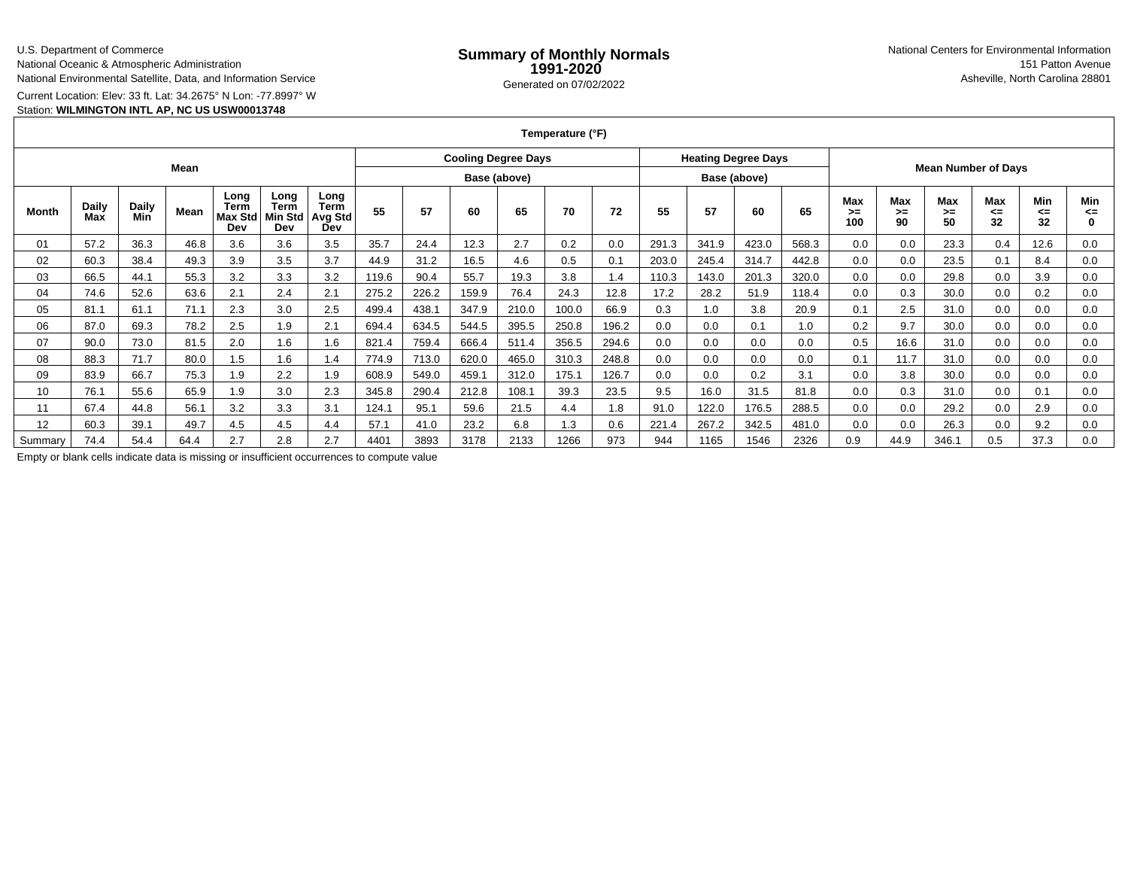# U.S. Department of Commerce

National Oceanic & Atmospheric AdministrationNational Environmental Satellite, Data, and Information Service

Current Location: Elev: 33 ft. Lat: 34.2675° N Lon: -77.8997° W

## Station: **WILMINGTON INTL AP, NC US USW00013748**

**Temperature (°F)**

| Mean         |              |              |      |                                       |                                |                                              | <b>Cooling Degree Days</b> |       |       |       |       | <b>Heating Degree Days</b> |       |       | <b>Mean Number of Days</b> |       |                  |                          |                 |                 |                 |                       |
|--------------|--------------|--------------|------|---------------------------------------|--------------------------------|----------------------------------------------|----------------------------|-------|-------|-------|-------|----------------------------|-------|-------|----------------------------|-------|------------------|--------------------------|-----------------|-----------------|-----------------|-----------------------|
|              |              |              |      |                                       |                                |                                              | Base (above)               |       |       |       |       | Base (above)               |       |       |                            |       |                  |                          |                 |                 |                 |                       |
| <b>Month</b> | Daily<br>Max | Daily<br>Min | Mean | Long<br>Term<br><b>Max Std</b><br>Dev | Long<br>Term<br>Min Std<br>Dev | Long<br><b>Term</b><br><b>Avg Std</b><br>Dev | 55                         | 57    | 60    | 65    | 70    | 72                         | 55    | 57    | 60                         | 65    | Max<br>>≕<br>100 | <b>Max</b><br>$>=$<br>90 | Max<br>>=<br>50 | Max<br><=<br>32 | Min<br><=<br>32 | Min<br><=<br>$\bf{0}$ |
| 01           | 57.2         | 36.3         | 46.8 | 3.6                                   | 3.6                            | 3.5                                          | 35.7                       | 24.4  | 12.3  | 2.7   | 0.2   | 0.0                        | 291.3 | 341.9 | 423.0                      | 568.3 | 0.0              | 0.0                      | 23.3            | 0.4             | 12.6            | 0.0                   |
| 02           | 60.3         | 38.4         | 49.3 | 3.9                                   | 3.5                            | 3.7                                          | 44.9                       | 31.2  | 16.5  | 4.6   | 0.5   | 0.1                        | 203.0 | 245.4 | 314.7                      | 442.8 | 0.0              | 0.0                      | 23.5            | 0.1             | 8.4             | 0.0                   |
| 03           | 66.5         | 44.1         | 55.3 | 3.2                                   | 3.3                            | 3.2                                          | 119.6                      | 90.4  | 55.7  | 19.3  | 3.8   | .4                         | 110.3 | 143.0 | 201.3                      | 320.0 | 0.0              | 0.0                      | 29.8            | 0.0             | 3.9             | 0.0                   |
| 04           | 74.6         | 52.6         | 63.6 | 2.1                                   | 2.4                            | 2.1                                          | 275.2                      | 226.2 | 159.9 | 76.4  | 24.3  | 12.8                       | 17.2  | 28.2  | 51.9                       | 118.4 | 0.0              | 0.3                      | 30.0            | 0.0             | 0.2             | 0.0                   |
| 05           | 81.1         | 61.1         | 71.1 | 2.3                                   | 3.0                            | 2.5                                          | 499.4                      | 438.1 | 347.9 | 210.0 | 100.0 | 66.9                       | 0.3   | 1.0   | 3.8                        | 20.9  | 0.1              | 2.5                      | 31.0            | 0.0             | 0.0             | 0.0                   |
| 06           | 87.0         | 69.3         | 78.2 | 2.5                                   | 1.9                            | 2.1                                          | 694.4                      | 634.5 | 544.5 | 395.5 | 250.8 | 196.2                      | 0.0   | 0.0   | 0.1                        | 1.0   | 0.2              | 9.7                      | 30.0            | 0.0             | 0.0             | 0.0                   |
| 07           | 90.0         | 73.0         | 81.5 | 2.0                                   | 1.6                            | 1.6                                          | 821.4                      | 759.4 | 666.4 | 511.4 | 356.5 | 294.6                      | 0.0   | 0.0   | 0.0                        | 0.0   | 0.5              | 16.6                     | 31.0            | 0.0             | 0.0             | 0.0                   |
| 08           | 88.3         | 71.7         | 80.0 | 1.5                                   | 1.6                            | 1.4                                          | 774.9                      | 713.0 | 620.0 | 465.0 | 310.3 | 248.8                      | 0.0   | 0.0   | 0.0                        | 0.0   | 0.1              | 11.7                     | 31.0            | 0.0             | 0.0             | 0.0                   |
| 09           | 83.9         | 66.7         | 75.3 | 1.9                                   | 2.2                            | 1.9                                          | 608.9                      | 549.0 | 459.1 | 312.0 | 175.1 | 126.7                      | 0.0   | 0.0   | 0.2                        | 3.1   | 0.0              | 3.8                      | 30.0            | 0.0             | 0.0             | 0.0                   |
| 10           | 76.1         | 55.6         | 65.9 | 1.9                                   | 3.0                            | 2.3                                          | 345.8                      | 290.4 | 212.8 | 108.1 | 39.3  | 23.5                       | 9.5   | 16.0  | 31.5                       | 81.8  | 0.0              | 0.3                      | 31.0            | 0.0             | 0.1             | 0.0                   |
| 11           | 67.4         | 44.8         | 56.1 | 3.2                                   | 3.3                            | 3.1                                          | 124.1                      | 95.1  | 59.6  | 21.5  | 4.4   | .8                         | 91.0  | 122.0 | 176.5                      | 288.5 | 0.0              | 0.0                      | 29.2            | 0.0             | 2.9             | 0.0                   |
| 12           | 60.3         | 39.1         | 49.7 | 4.5                                   | 4.5                            | 4.4                                          | 57.7                       | 41.0  | 23.2  | 6.8   | 1.3   | 0.6                        | 221.4 | 267.2 | 342.5                      | 481.0 | 0.0              | 0.0                      | 26.3            | 0.0             | 9.2             | 0.0                   |
| Summary      | 74.4         | 54.4         | 64.4 | 2.7                                   | 2.8                            | 2.7                                          | 4401                       | 3893  | 3178  | 2133  | 1266  | 973                        | 944   | 1165  | 1546                       | 2326  | 0.9              | 44.9                     | 346.1           | 0.5             | 37.3            | 0.0                   |

Empty or blank cells indicate data is missing or insufficient occurrences to compute value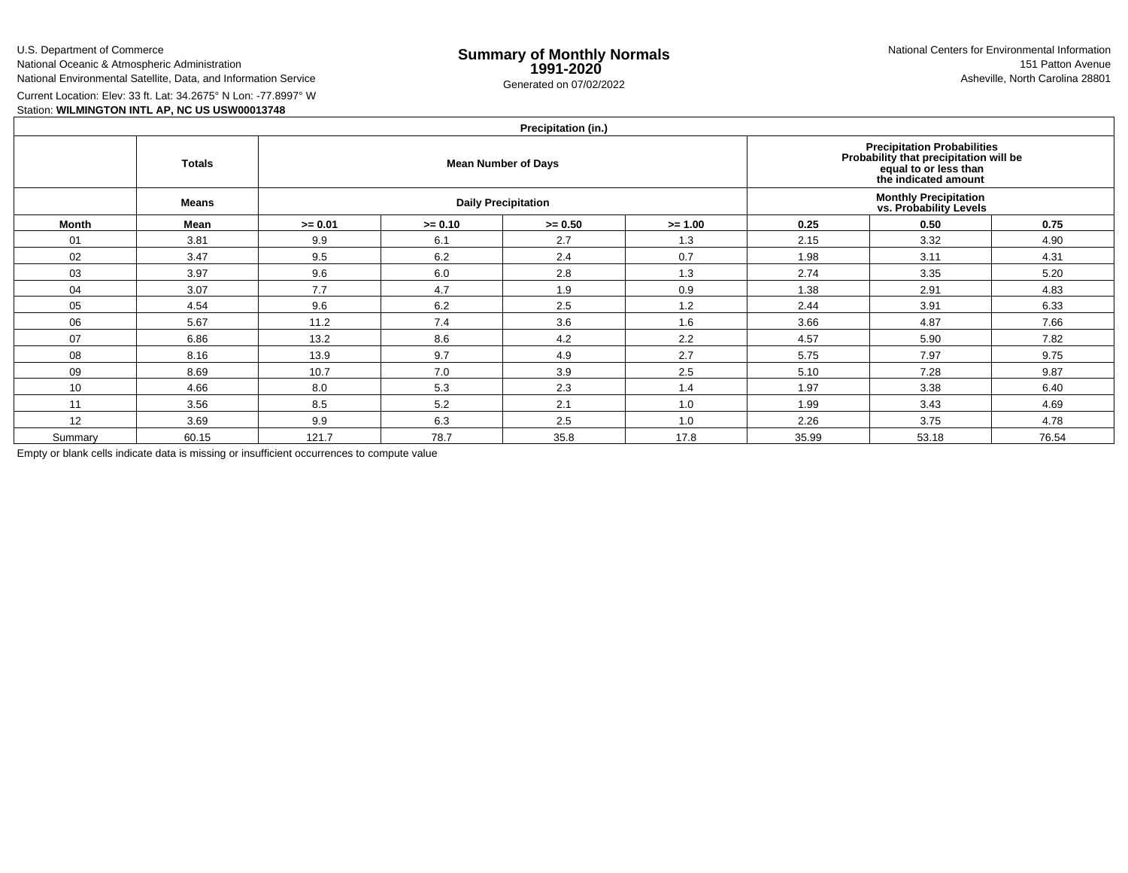U.S. Department of CommerceNational Oceanic & Atmospheric AdministrationNational Environmental Satellite, Data, and Information Service

Current Location: Elev: 33 ft. Lat: 34.2675° N Lon: -77.8997° W

Station: **WILMINGTON INTL AP, NC US USW00013748**

### **Precipitation (in.)**

| $\ldots$ |               |           |                            |                                                                                                                        |                                                         |       |       |       |  |  |  |
|----------|---------------|-----------|----------------------------|------------------------------------------------------------------------------------------------------------------------|---------------------------------------------------------|-------|-------|-------|--|--|--|
|          | <b>Totals</b> |           | <b>Mean Number of Days</b> | Precipitation Probabilities<br>Probability that precipitation will be<br>equal to or less than<br>the indicated amount |                                                         |       |       |       |  |  |  |
|          | Means         |           |                            | <b>Daily Precipitation</b>                                                                                             | <b>Monthly Precipitation<br/>vs. Probability Levels</b> |       |       |       |  |  |  |
| Month    | Mean          | $>= 0.01$ | $>= 0.10$                  | $>= 0.50$                                                                                                              | $>= 1.00$                                               | 0.25  | 0.50  | 0.75  |  |  |  |
| 01       | 3.81          | 9.9       | 6.1                        | 2.7                                                                                                                    | 1.3                                                     | 2.15  | 3.32  | 4.90  |  |  |  |
| 02       | 3.47          | 9.5       | 6.2                        | 2.4                                                                                                                    | 0.7                                                     | 1.98  | 3.11  | 4.31  |  |  |  |
| 03       | 3.97          | 9.6       | 6.0                        | 2.8                                                                                                                    | 1.3                                                     | 2.74  | 3.35  | 5.20  |  |  |  |
| 04       | 3.07          | 7.7       | 4.7                        | 1.9                                                                                                                    | 0.9                                                     | 1.38  | 2.91  | 4.83  |  |  |  |
| 05       | 4.54          | 9.6       | 6.2                        | 2.5                                                                                                                    | 1.2                                                     | 2.44  | 3.91  | 6.33  |  |  |  |
| 06       | 5.67          | 11.2      | 7.4                        | 3.6                                                                                                                    | 1.6                                                     | 3.66  | 4.87  | 7.66  |  |  |  |
| 07       | 6.86          | 13.2      | 8.6                        | 4.2                                                                                                                    | 2.2                                                     | 4.57  | 5.90  | 7.82  |  |  |  |
| 08       | 8.16          | 13.9      | 9.7                        | 4.9                                                                                                                    | 2.7                                                     | 5.75  | 7.97  | 9.75  |  |  |  |
| 09       | 8.69          | 10.7      | 7.0                        | 3.9                                                                                                                    | 2.5                                                     | 5.10  | 7.28  | 9.87  |  |  |  |
| 10       | 4.66          | 8.0       | 5.3                        | 2.3                                                                                                                    | 1.4                                                     | 1.97  | 3.38  | 6.40  |  |  |  |
| 11       | 3.56          | 8.5       | 5.2                        | 2.1                                                                                                                    | 1.0                                                     | 1.99  | 3.43  | 4.69  |  |  |  |
| 12       | 3.69          | 9.9       | 6.3                        | 2.5                                                                                                                    | 1.0                                                     | 2.26  | 3.75  | 4.78  |  |  |  |
| Summary  | 60.15         | 121.7     | 78.7                       | 35.8                                                                                                                   | 17.8                                                    | 35.99 | 53.18 | 76.54 |  |  |  |

Empty or blank cells indicate data is missing or insufficient occurrences to compute value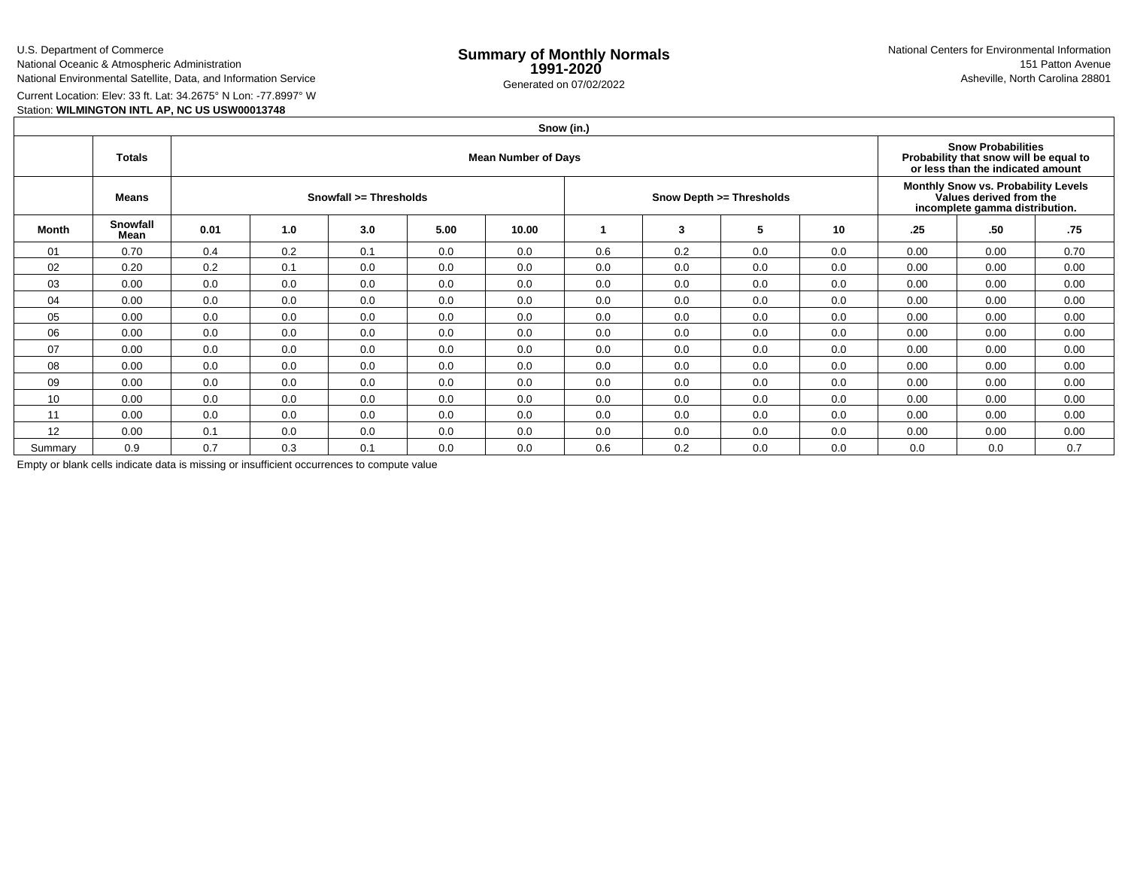U.S. Department of CommerceNational Oceanic & Atmospheric AdministrationNational Environmental Satellite, Data, and Information Service

e **Summary of Monthly Normals**<br> **1991-2020** 151 Patton Avenue **1991-2020** 1997-2020 Generated on 07/02/2022 Asheville, North Carolina 28801 National Centers for Environmental Information151 Patton Avenue

Current Location: Elev: 33 ft. Lat: 34.2675° N Lon: -77.8997° W

### Station: **WILMINGTON INTL AP, NC US USW00013748**

### **Snow (in.)Totals Mean Number of Days Snow Probabilities Probability that snow will be equal to or less than the indicated amountMeans Snowfall >= Thresholds Snow Depth >= Thresholds Monthly Snow vs. Probability LevelsValues derived from the incomplete gamma distribution.Month Snowfall Mean 0.01 1.0 3.0 5.00 10.00 <sup>1</sup> <sup>3</sup> <sup>5</sup> <sup>10</sup> .25 .50 .75** 011 0.70 0.4 0.2 0.1 0.0 0.0 0.6 0.2 0.0 0.0 0.00 0.70 02 0.20 0.2 0.1 0.0 0.0 0.0 0.0 0.0 0.0 0.0 0.00 0.00 0.00 03 0.00 0.0 0.0 0.0 0.0 0.0 0.0 0.0 0.0 0.0 0.00 0.00 0.00 04 0.00 0.0 0.0 0.0 0.0 0.0 0.0 0.0 0.0 0.0 0.00 0.00 0.00 05 0.00 0.0 0.0 0.0 0.0 0.0 0.0 0.0 0.0 0.0 0.00 0.00 0.00 06 0.00 0.0 0.0 0.0 0.0 0.0 0.0 0.0 0.0 0.0 0.00 0.00 0.00 07 0.00 0.0 0.0 0.0 0.0 0.0 0.0 0.0 0.0 0.0 0.00 0.00 0.00 08 0.00 0.0 0.0 0.0 0.0 0.0 0.0 0.0 0.0 0.0 0.00 0.00 0.00 09 0.00 0.0 0.0 0.0 0.0 0.0 0.0 0.0 0.0 0.0 0.00 0.00 0.00 10 0.00 0.0 0.0 0.0 0.0 0.0 0.0 0.0 0.0 0.0 0.00 0.00 0.00 11 0.00 0.0 0.0 0.0 0.0 0.0 0.0 0.0 0.0 0.0 0.00 0.00 0.00 12 0.00 0.1 0.0 0.0 0.0 0.0 0.0 0.0 0.0 0.0 0.00 0.00 0.00 Summary 0.99 0.7 0.3 0.1 0.0 0.0 0.6 0.2 0.0 0.0 0.0 0.0 0.0 0.7

Empty or blank cells indicate data is missing or insufficient occurrences to compute value